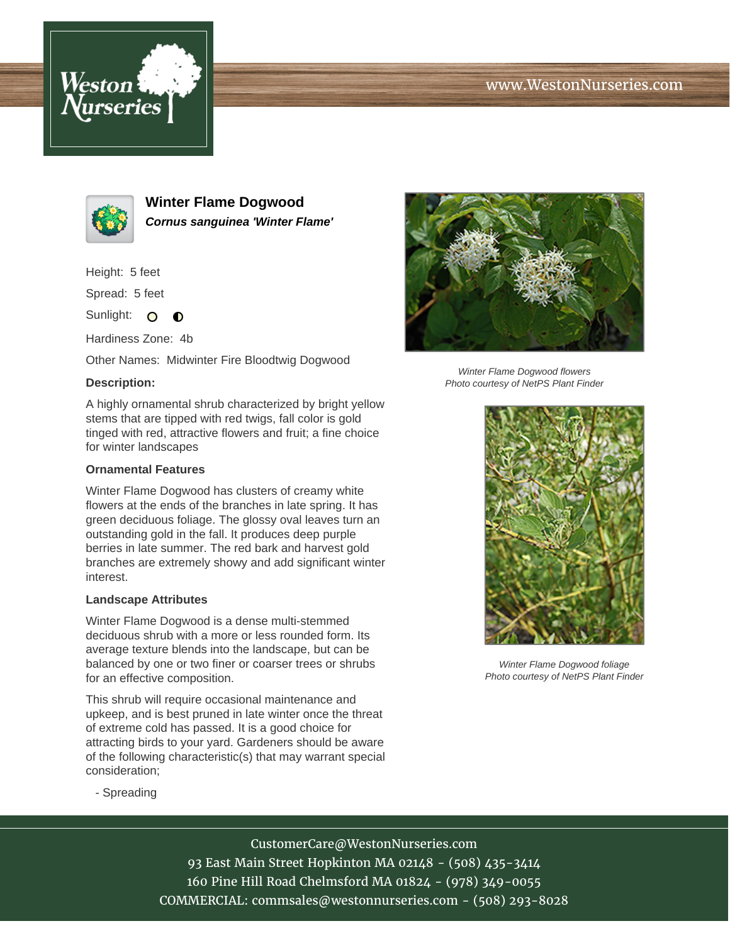# www.WestonNurseries.com





**Winter Flame Dogwood Cornus sanguinea 'Winter Flame'**

Height: 5 feet

Spread: 5 feet

Sunlight: O  $\bullet$ 

Hardiness Zone: 4b

Other Names: Midwinter Fire Bloodtwig Dogwood

### **Description:**

A highly ornamental shrub characterized by bright yellow stems that are tipped with red twigs, fall color is gold tinged with red, attractive flowers and fruit; a fine choice for winter landscapes

#### **Ornamental Features**

Winter Flame Dogwood has clusters of creamy white flowers at the ends of the branches in late spring. It has green deciduous foliage. The glossy oval leaves turn an outstanding gold in the fall. It produces deep purple berries in late summer. The red bark and harvest gold branches are extremely showy and add significant winter interest.

#### **Landscape Attributes**

Winter Flame Dogwood is a dense multi-stemmed deciduous shrub with a more or less rounded form. Its average texture blends into the landscape, but can be balanced by one or two finer or coarser trees or shrubs for an effective composition.

This shrub will require occasional maintenance and upkeep, and is best pruned in late winter once the threat of extreme cold has passed. It is a good choice for attracting birds to your yard. Gardeners should be aware of the following characteristic(s) that may warrant special consideration;



Winter Flame Dogwood flowers Photo courtesy of NetPS Plant Finder



Winter Flame Dogwood foliage Photo courtesy of NetPS Plant Finder

- Spreading

# CustomerCare@WestonNurseries.com

93 East Main Street Hopkinton MA 02148 - (508) 435-3414 160 Pine Hill Road Chelmsford MA 01824 - (978) 349-0055 COMMERCIAL: commsales@westonnurseries.com - (508) 293-8028